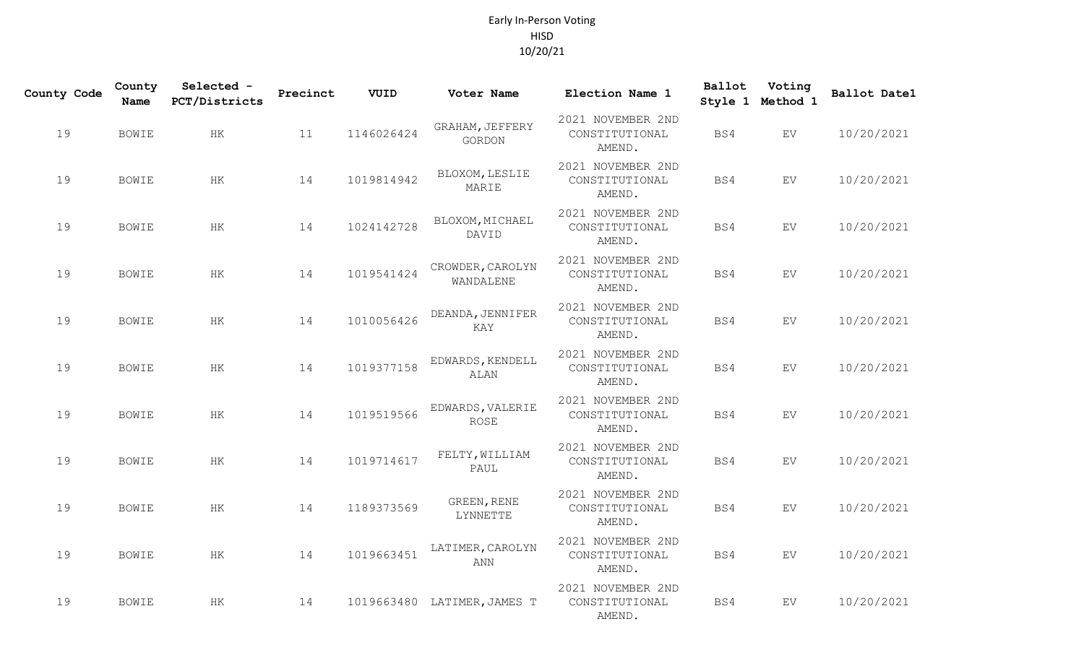## Early In-Person Voting HISD 10/20/21

| County Code | County<br>Name | Selected -<br>PCT/Districts | Precinct | VUID       | Voter Name                      | Election Name 1                               | Ballot | Voting<br>Style 1 Method 1 | Ballot Date1 |
|-------------|----------------|-----------------------------|----------|------------|---------------------------------|-----------------------------------------------|--------|----------------------------|--------------|
| 19          | BOWIE          | HK                          | 11       | 1146026424 | GRAHAM, JEFFERY<br>GORDON       | 2021 NOVEMBER 2ND<br>CONSTITUTIONAL<br>AMEND. | BS4    | EV                         | 10/20/2021   |
| 19          | BOWIE          | HK                          | 14       | 1019814942 | BLOXOM, LESLIE<br>MARIE         | 2021 NOVEMBER 2ND<br>CONSTITUTIONAL<br>AMEND. | BS4    | EV                         | 10/20/2021   |
| 19          | BOWIE          | $\rm{HK}$                   | 14       | 1024142728 | BLOXOM, MICHAEL<br>DAVID        | 2021 NOVEMBER 2ND<br>CONSTITUTIONAL<br>AMEND. | BS4    | EV                         | 10/20/2021   |
| 19          | BOWIE          | HK                          | 14       | 1019541424 | CROWDER, CAROLYN<br>WANDALENE   | 2021 NOVEMBER 2ND<br>CONSTITUTIONAL<br>AMEND. | BS4    | EV                         | 10/20/2021   |
| 19          | <b>BOWIE</b>   | HK                          | 14       | 1010056426 | DEANDA, JENNIFER<br>KAY         | 2021 NOVEMBER 2ND<br>CONSTITUTIONAL<br>AMEND. | BS4    | EV                         | 10/20/2021   |
| 19          | BOWIE          | HK                          | 14       | 1019377158 | EDWARDS, KENDELL<br><b>ALAN</b> | 2021 NOVEMBER 2ND<br>CONSTITUTIONAL<br>AMEND. | BS4    | EV                         | 10/20/2021   |
| 19          | <b>BOWIE</b>   | HK                          | 14       | 1019519566 | EDWARDS, VALERIE<br><b>ROSE</b> | 2021 NOVEMBER 2ND<br>CONSTITUTIONAL<br>AMEND. | BS4    | EV                         | 10/20/2021   |
| 19          | <b>BOWIE</b>   | $\rm{HK}$                   | 14       | 1019714617 | FELTY, WILLIAM<br>PAUL          | 2021 NOVEMBER 2ND<br>CONSTITUTIONAL<br>AMEND. | BS4    | EV                         | 10/20/2021   |
| 19          | BOWIE          | HK                          | 14       | 1189373569 | GREEN, RENE<br>LYNNETTE         | 2021 NOVEMBER 2ND<br>CONSTITUTIONAL<br>AMEND. | BS4    | EV                         | 10/20/2021   |
| 19          | <b>BOWIE</b>   | HK                          | 14       | 1019663451 | LATIMER, CAROLYN<br>ANN         | 2021 NOVEMBER 2ND<br>CONSTITUTIONAL<br>AMEND. | BS4    | EV                         | 10/20/2021   |
| 19          | <b>BOWIE</b>   | $\rm{HK}$                   | 14       |            | 1019663480 LATIMER, JAMES T     | 2021 NOVEMBER 2ND<br>CONSTITUTIONAL<br>AMEND. | BS4    | EV                         | 10/20/2021   |